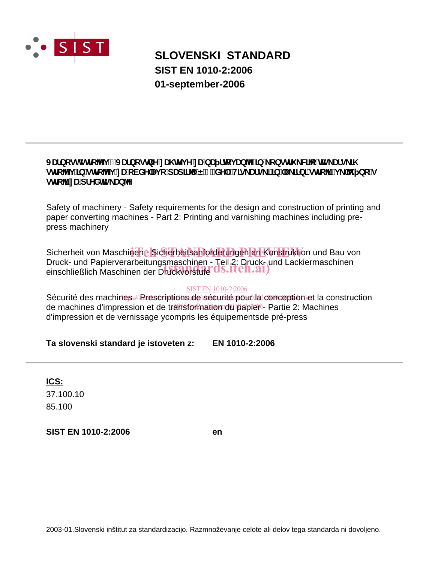

# **SLOVENSKI STANDARD SIST EN 1010-2:2006 01-september-2006**

# JUfbcghglfc^i !'JUfbcglbYnU hYj YnUbU flcj Ub^T|b' cbglfi W^c'h]g Ufg N alfc^i Tb`qlfc^i nUcVXYUjc`dUd]fUË&"XY.HIq Ufq TTb^U TfbTqlfc^izi `^ bc`q ghic<sup>q</sup>inUdfYXhg\_Ub<sup>N</sup>

Safety of machinery - Safety requirements for the design and construction of printing and paper converting machines - Part 2: Printing and varnishing machines including prepress machinery

Sicherheit von Maschinene Sicherheitsanforderungen an Konstruktion und Bau von Druck- und Papierverarbeitungsmaschinen - Teil 2: Druck- und Lackiermaschinen Druck- und Papierverarbeitungsmaschinen - Teil 2: Druck- u<br>einschließlich Maschinen der Druckvorstufe d.S.Iteh.ai)

### SIST EN 1010-2:2006

Sécurité des machines // Prescriptions de sécurité pour la conception et la construction de machines d'impression et de transformation du papier - Partie 2: Machines d'impression et de vernissage ycompris les équipementsde pré-press

## **Ta slovenski standard je istoveten z: EN 1010-2:2006**

**ICS:**

85.100 37.100.10

**SIST EN 1010-2:2006 en**

2003-01.Slovenski inštitut za standardizacijo. Razmnoževanje celote ali delov tega standarda ni dovoljeno.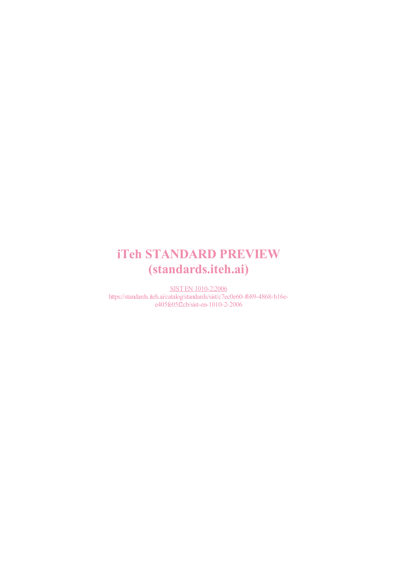# iTeh STANDARD PREVIEW (standards.iteh.ai)

SIST EN 1010-2:2006 https://standards.iteh.ai/catalog/standards/sist/c7ec0e60-f689-4868-b16ee405fe05f2cb/sist-en-1010-2-2006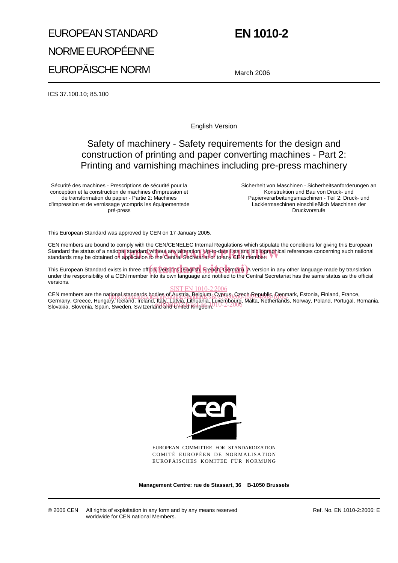# EUROPEAN STANDARD NORME EUROPÉENNE EUROPÄISCHE NORM

# **EN 1010-2**

March 2006

ICS 37.100.10; 85.100

English Version

# Safety of machinery - Safety requirements for the design and construction of printing and paper converting machines - Part 2: Printing and varnishing machines including pre-press machinery

Sécurité des machines - Prescriptions de sécurité pour la conception et la construction de machines d'impression et de transformation du papier - Partie 2: Machines d'impression et de vernissage ycompris les équipementsde pré-press

Sicherheit von Maschinen - Sicherheitsanforderungen an Konstruktion und Bau von Druck- und Papierverarbeitungsmaschinen - Teil 2: Druck- und Lackiermaschinen einschließlich Maschinen der Druckvorstufe

This European Standard was approved by CEN on 17 January 2005.

CEN members are bound to comply with the CEN/CENELEC Internal Regulations which stipulate the conditions for giving this European Standard the status of a national standard without any alteration. Up-to-date lists and bibliographical references concerning such national<br>standards may be obtained on application to the Central Secretariat or to any CEN standards may be obtained on application to the Central Secretariat or to any CEN member.

This European Standard exists in three official versions English, French, German). A version in any other language made by translation<br>Under the responsibility of a CEN member into its own language and potified to the Cent under the responsibility of a CEN member into its own language and notified to the Central Secretariat has the same status as the official versions.

#### SIST EN 1010-2:2006

CEN members are the national standards bodies of Austria, Belgium, Cyprus, Czech Republic, Denmark, Estonia, Finland, France,<br>Cermany, Crosse, Hunger, Doctor Hology Hall, C1988-116e-689-699-699-699-699-699-699-69-69-69-69-Germany, Greece, Hungary, Iceland, Ireland, Italy, Latvia, Lithuania, Luxembourg, Malta, Netherlands, Norway, Poland, Portugal, Romania, Sennary, Sreece, Frangary, Iceland, Ireland, Italy, Eatric, Filipania, Euxembodig,<br>Slovakia, Slovenia, Spain, Sweden, Switzerland and United Kingdom.



EUROPEAN COMMITTEE FOR STANDARDIZATION COMITÉ EUROPÉEN DE NORMALISATION EUROPÄISCHES KOMITEE FÜR NORMUNG

**Management Centre: rue de Stassart, 36 B-1050 Brussels**

Ref. No. EN 1010-2:2006: E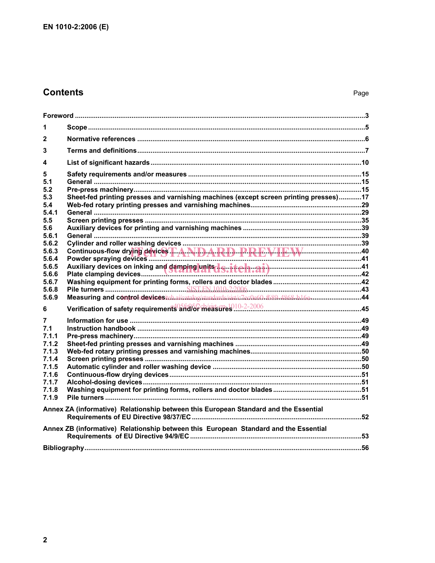# **Contents**

| 1                                                                                                                                     |                                                                                                                                                                                                                                      |  |
|---------------------------------------------------------------------------------------------------------------------------------------|--------------------------------------------------------------------------------------------------------------------------------------------------------------------------------------------------------------------------------------|--|
| $\mathbf{2}$                                                                                                                          |                                                                                                                                                                                                                                      |  |
| 3                                                                                                                                     |                                                                                                                                                                                                                                      |  |
| 4                                                                                                                                     |                                                                                                                                                                                                                                      |  |
| 5<br>5.1<br>5.2<br>5.3<br>5.4<br>5.4.1<br>5.5<br>5.6<br>5.6.1<br>5.6.2<br>5.6.3<br>5.6.4<br>5.6.5<br>5.6.6<br>5.6.7<br>5.6.8<br>5.6.9 | Sheet-fed printing presses and varnishing machines (except screen printing presses)17<br>Continuous-flow drying devices T.A.NDARD PREVIEW 10<br>Measuring and controlsdevicestahai/catalog/standards/sist/c7ec0e60-f689-4868-b16e-44 |  |
| 6                                                                                                                                     |                                                                                                                                                                                                                                      |  |
| 7<br>7.1<br>7.1.1<br>7.1.2<br>7.1.3<br>7.1.4<br>7.1.5<br>7.1.6<br>7.1.7<br>7.1.8<br>7.1.9                                             |                                                                                                                                                                                                                                      |  |
|                                                                                                                                       | Annex ZA (informative) Relationship between this European Standard and the Essential                                                                                                                                                 |  |
|                                                                                                                                       | Annex ZB (informative) Relationship between this European Standard and the Essential                                                                                                                                                 |  |
|                                                                                                                                       |                                                                                                                                                                                                                                      |  |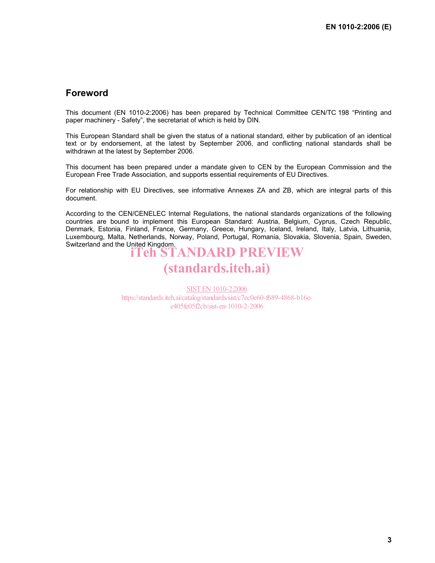## **Foreword**

This document (EN 1010-2:2006) has been prepared by Technical Committee CEN/TC 198 "Printing and paper machinery - Safety", the secretariat of which is held by DIN.

This European Standard shall be given the status of a national standard, either by publication of an identical text or by endorsement, at the latest by September 2006, and conflicting national standards shall be withdrawn at the latest by September 2006.

This document has been prepared under a mandate given to CEN by the European Commission and the European Free Trade Association, and supports essential requirements of EU Directives.

For relationship with EU Directives, see informative Annexes ZA and ZB, which are integral parts of this document.

According to the CEN/CENELEC Internal Regulations, the national standards organizations of the following countries are bound to implement this European Standard: Austria, Belgium, Cyprus, Czech Republic, Denmark, Estonia, Finland, France, Germany, Greece, Hungary, Iceland, Ireland, Italy, Latvia, Lithuania, Luxembourg, Malta, Netherlands, Norway, Poland, Portugal, Romania, Slovakia, Slovenia, Spain, Sweden, Switzerland and the United Kingdom. iTeh STANDARD PREVIEW

# (standards.iteh.ai)

SIST EN 1010-2:2006 https://standards.iteh.ai/catalog/standards/sist/c7ec0e60-f689-4868-b16ee405fe05f2cb/sist-en-1010-2-2006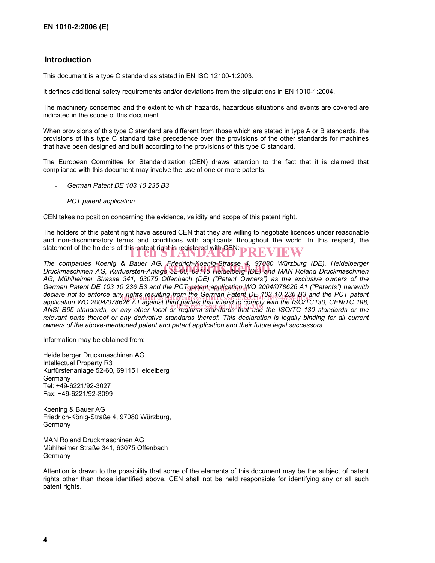### **Introduction**

This document is a type C standard as stated in EN ISO 12100-1:2003.

It defines additional safety requirements and/or deviations from the stipulations in EN 1010-1:2004.

The machinery concerned and the extent to which hazards, hazardous situations and events are covered are indicated in the scope of this document.

When provisions of this type C standard are different from those which are stated in type A or B standards, the provisions of this type C standard take precedence over the provisions of the other standards for machines that have been designed and built according to the provisions of this type C standard.

The European Committee for Standardization (CEN) draws attention to the fact that it is claimed that compliance with this document may involve the use of one or more patents:

- *German Patent DE 103 10 236 B3*
- *PCT patent application*

CEN takes no position concerning the evidence, validity and scope of this patent right.

The holders of this patent right have assured CEN that they are willing to negotiate licences under reasonable and non-discriminatory terms and conditions with applicants throughout the world. In this respect, the statement of the holders of this patent right is registered with CEN: **PREVIEW** 

*The companies Koenig & Bauer AG, Friedrich-Koenig-Strasse 4, 97080 Würzburg (DE), Heidelberger*  The companies Koenig & Bauer AG, Friedrich-Koenig-Strasse 4, 97080 Würzburg (DE), Heidelberger<br>Druckmaschinen AG, Kurfuersten-Anlage 52-60, 69115 Heidelberg (DE) and MAN Roland Druckmaschinen *AG, Mühlheimer Strasse 341, 63075 Offenbach (DE) ("Patent Owners") as the exclusive owners of the German Patent DE 103 10 236 B3 and the PCT patent application WO 2004/078626 A1 ("Patents") herewith*  $\frac{1}{2}$ *declare not to enforce any rights resulting from the German Patent DE 103 10 236 B3 and the PCT patent*  declare not to enforce any *itghts resulting from the German Patent UE (US UL 23*6 B3 and the PCT patent<br>application WO 2004/078626 A1 against third parties that intend to comply with the ISO/TC130, CEN/TC 198, application WO 2004/010020 AT against third pailes that litterio to comply with the ISO/TC 130, CENTC 190,<br>ANSI B65 standards, or any other local or regional standards that use the ISO/TC 130 standards or the relevant parts thereof or any derivative standards thereof. This declaration is legally binding for all current *owners of the above-mentioned patent and patent application and their future legal successors.* 

Information may be obtained from:

Heidelberger Druckmaschinen AG Intellectual Property R3 Kurfürstenanlage 52-60, 69115 Heidelberg **Germany** Tel: +49-6221/92-3027 Fax: +49-6221/92-3099

Koening & Bauer AG Friedrich-König-Straße 4, 97080 Würzburg, Germany

MAN Roland Druckmaschinen AG Mühlheimer Straße 341, 63075 Offenbach Germany

Attention is drawn to the possibility that some of the elements of this document may be the subject of patent rights other than those identified above. CEN shall not be held responsible for identifying any or all such patent rights.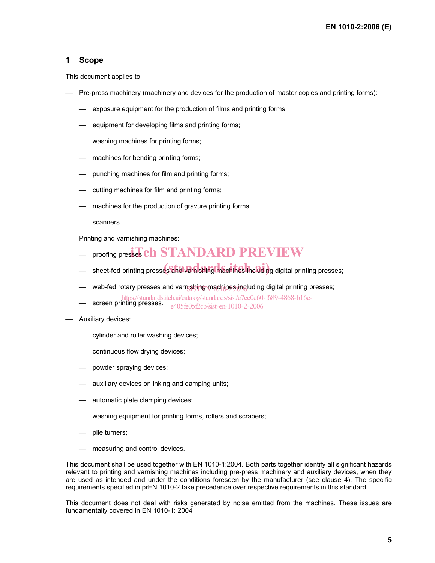### **1 Scope**

This document applies to:

- Pre-press machinery (machinery and devices for the production of master copies and printing forms):
	- exposure equipment for the production of films and printing forms;
	- $\equiv$  equipment for developing films and printing forms;
	- washing machines for printing forms;
	- $-$  machines for bending printing forms;
	- punching machines for film and printing forms;
	- $\equiv$  cutting machines for film and printing forms;
	- $-$  machines for the production of gravure printing forms;
	- scanners.
- Printing and varnishing machines:
	- $-$  proofing presses; eh STANDARD PREVIEW
	- sheet-fed printing presses and varnishing machines including digital printing presses;
	- web-fed rotary presses and varnishing machines including digital printing presses;
	- screen printing presses. e405fe05f2cb/sist-en-1010-2-2006https://standards.iteh.ai/catalog/standards/sist/c7ec0e60-f689-4868-b16e-
- Auxiliary devices:
	- cylinder and roller washing devices;
	- continuous flow drying devices;
	- powder spraying devices;
	- $-$  auxiliary devices on inking and damping units;
	- automatic plate clamping devices;
	- washing equipment for printing forms, rollers and scrapers;
	- pile turners;
	- measuring and control devices.

This document shall be used together with EN 1010-1:2004. Both parts together identify all significant hazards relevant to printing and varnishing machines including pre-press machinery and auxiliary devices, when they are used as intended and under the conditions foreseen by the manufacturer (see clause 4). The specific requirements specified in prEN 1010-2 take precedence over respective requirements in this standard.

This document does not deal with risks generated by noise emitted from the machines. These issues are fundamentally covered in EN 1010-1: 2004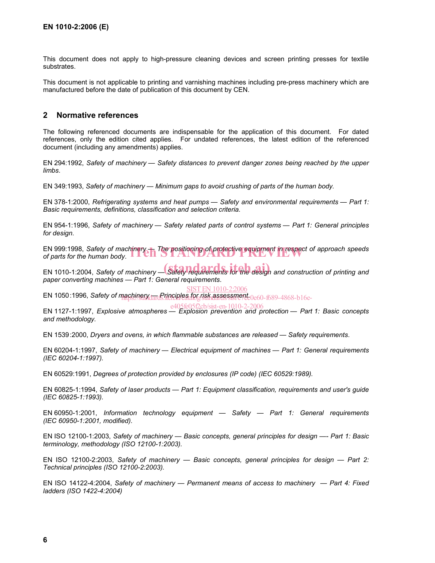This document does not apply to high-pressure cleaning devices and screen printing presses for textile substrates.

This document is not applicable to printing and varnishing machines including pre-press machinery which are manufactured before the date of publication of this document by CEN.

#### **2 Normative references**

The following referenced documents are indispensable for the application of this document. For dated references, only the edition cited applies. For undated references, the latest edition of the referenced document (including any amendments) applies.

EN 294:1992, *Safety of machinery — Safety distances to prevent danger zones being reached by the upper limbs*.

EN 349:1993, *Safety of machinery — Minimum gaps to avoid crushing of parts of the human body*.

EN 378-1:2000, *Refrigerating systems and heat pumps — Safety and environmental requirements — Part 1: Basic requirements, definitions, classification and selection criteria.*

EN 954-1:1996, *Safety of machinery — Safety related parts of control systems — Part 1: General principles for design*.

EN 999:1998, *Safety of machinery — The positioning of protective equipment in respect of approach speeds*  EN 999:1998, Safety of machinery **The positioning of protective equipment in respect of parts for the human body.** 

EN 1010-1:2004, Safety of machinery — Safety requirements for the design and construction of printing and *paper converting machines — Part 1: General requirements*.

EN 1050:1996, *Safety of machinery <del>arc</del> Principles for risk assessment*  $\rm{_0e60-689-4868\text{-}b16e-}$ SIST EN 1010-2:2006

EN 1127-1:1997, *Explosive atmospheres — Explosion prevention and protection — Part 1: Basic concepts*  e405fe05f2cb/sist-en-1010-2-2006*and methodology.*

EN 1539 :2000, *Dryers and ovens, in which flammable substances are released — Safety requirements*.

EN 60204-1:1997, *Safety of machinery — Electrical equipment of machines — Part 1: General requirements (IEC 60204-1:1997).* 

EN 60529:1991, *Degrees of protection provided by enclosures (IP code) (IEC 60529:1989).* 

EN 60825-1:1994, *Safety of laser products — Part 1: Equipment classification, requirements and user's guide (IEC 60825-1:1993).*

EN 60950-1:2001, *Information technology equipment — Safety — Part 1: General requirements (IEC 60950-1:2001, modified)*.

EN ISO 12100-1:2003, *Safety of machinery — Basic concepts, general principles for design —- Part 1: Basic terminology, methodology (ISO 12100-1:2003).* 

EN ISO 12100-2:2003, *Safety of machinery — Basic concepts, general principles for design — Part 2: Technical principles (ISO 12100-2:2003).* 

EN ISO 14122-4:2004, *Safety of machinery — Permanent means of access to machinery — Part 4: Fixed ladders (ISO 1422-4:2004)*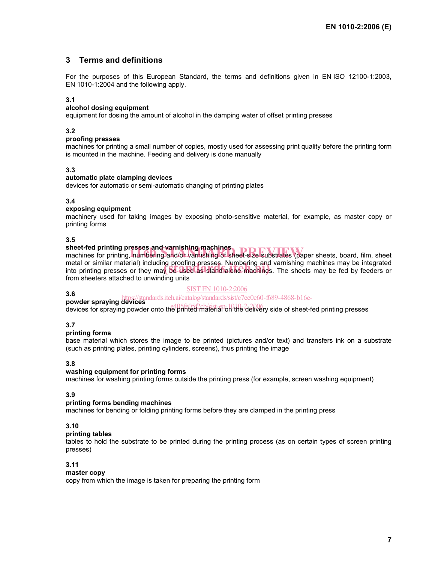### **3 Terms and definitions**

For the purposes of this European Standard, the terms and definitions given in EN ISO 12100-1:2003, EN 1010-1:2004 and the following apply.

#### **3.1**

#### **alcohol dosing equipment**

equipment for dosing the amount of alcohol in the damping water of offset printing presses

#### **3.2**

#### **proofing presses**

machines for printing a small number of copies, mostly used for assessing print quality before the printing form is mounted in the machine. Feeding and delivery is done manually

#### **3.3**

#### **automatic plate clamping devices**

devices for automatic or semi-automatic changing of printing plates

#### **3.4**

#### **exposing equipment**

machinery used for taking images by exposing photo-sensitive material, for example, as master copy or printing forms

#### **3.5**

#### **sheet-fed printing presses and varnishing machines**

sheet-fed printing presses and varnishing machines<br>machines for printing, numbering and/or varnishing of sheet-size substrates (paper sheets, board, film, sheet metal or similar material) including proofing presses. Numbering and varnishing machines may be integrated metal or similar material) including prooting presses. Numbering and varnishing machines may be integrated<br>into printing presses or they may be used as stand-alone machines. The sheets may be fed by feeders or from sheeters attached to unwinding units

#### SIST EN 1010-2:2006

**3.6 powder spraying devices**<br> **powder spraying devices**<br> **https://standards.iteh.ai/catalog/standards/sist/c7ec0e60-f689-4868-b16e-**

powder spraying devices<br>devices for spraying powder onto the printed material on the delivery side of sheet-fed printing presses

#### **3.7**

#### **printing forms**

base material which stores the image to be printed (pictures and/or text) and transfers ink on a substrate (such as printing plates, printing cylinders, screens), thus printing the image

#### **3.8**

#### **washing equipment for printing forms**

machines for washing printing forms outside the printing press (for example, screen washing equipment)

#### **3.9**

#### **printing forms bending machines**

machines for bending or folding printing forms before they are clamped in the printing press

#### **3.10**

### **printing tables**

tables to hold the substrate to be printed during the printing process (as on certain types of screen printing presses)

#### **3.11**

#### **master copy**

copy from which the image is taken for preparing the printing form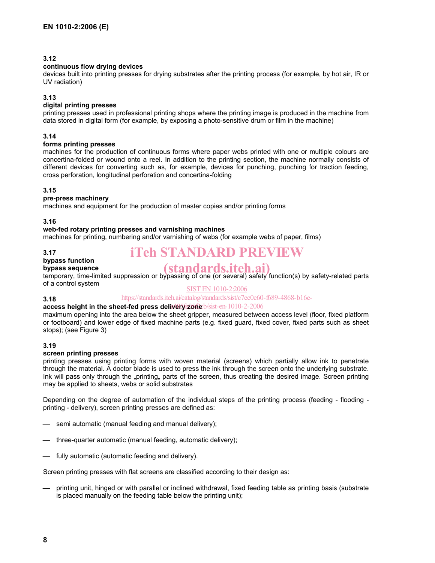#### **3.12**

#### **continuous flow drying devices**

devices built into printing presses for drying substrates after the printing process (for example, by hot air, IR or UV radiation)

#### **3.13**

#### **digital printing presses**

printing presses used in professional printing shops where the printing image is produced in the machine from data stored in digital form (for example, by exposing a photo-sensitive drum or film in the machine)

#### **3.14**

#### **forms printing presses**

machines for the production of continuous forms where paper webs printed with one or multiple colours are concertina-folded or wound onto a reel. In addition to the printing section, the machine normally consists of different devices for converting such as, for example, devices for punching, punching for traction feeding, cross perforation, longitudinal perforation and concertina-folding

#### **3.15**

#### **pre-press machinery**

machines and equipment for the production of master copies and/or printing forms

**3.16** 

#### **web-fed rotary printing presses and varnishing machines**

machines for printing, numbering and/or varnishing of webs (for example webs of paper, films)

#### **3.17**

**3.18** 

# iTeh STANDARD PREVIEW

#### **bypass function bypass sequence**

# (standards.iteh.ai)

temporary, time-limited suppression or bypassing of one (or several) safety function(s) by safety-related parts of a control system

#### SIST EN 1010-2:2006

#### https://standards.iteh.ai/catalog/standards/sist/c7ec0e60-f689-4868-b16e-

#### access height in the sheet-fed press delivery 26 he b/sist-en-1010-2-2006

maximum opening into the area below the sheet gripper, measured between access level (floor, fixed platform or footboard) and lower edge of fixed machine parts (e.g. fixed guard, fixed cover, fixed parts such as sheet stops); (see Figure 3)

#### **3.19**

#### **screen printing presses**

printing presses using printing forms with woven material (screens) which partially allow ink to penetrate through the material. A doctor blade is used to press the ink through the screen onto the underlying substrate. Ink will pass only through the "printing, parts of the screen, thus creating the desired image. Screen printing may be applied to sheets, webs or solid substrates

Depending on the degree of automation of the individual steps of the printing process (feeding - flooding printing - delivery), screen printing presses are defined as:

- $\equiv$  semi automatic (manual feeding and manual delivery);
- $\equiv$  three-quarter automatic (manual feeding, automatic delivery);
- fully automatic (automatic feeding and delivery).

Screen printing presses with flat screens are classified according to their design as:

 printing unit, hinged or with parallel or inclined withdrawal, fixed feeding table as printing basis (substrate is placed manually on the feeding table below the printing unit);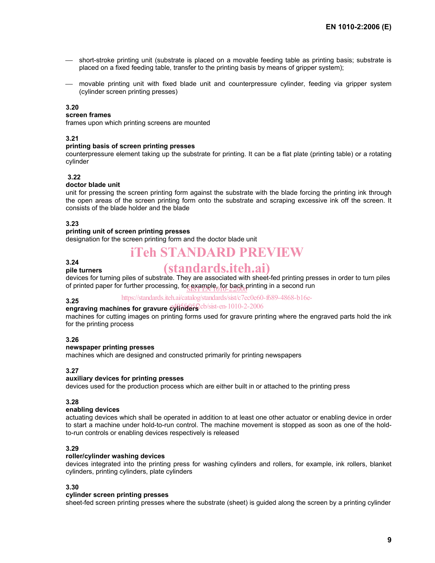- short-stroke printing unit (substrate is placed on a movable feeding table as printing basis; substrate is placed on a fixed feeding table, transfer to the printing basis by means of gripper system);
- movable printing unit with fixed blade unit and counterpressure cylinder, feeding via gripper system (cylinder screen printing presses)

#### **3.20**

#### **screen frames**

frames upon which printing screens are mounted

#### **3.21**

#### **printing basis of screen printing presses**

counterpressure element taking up the substrate for printing. It can be a flat plate (printing table) or a rotating cylinder

#### **3.22**

#### **doctor blade unit**

unit for pressing the screen printing form against the substrate with the blade forcing the printing ink through the open areas of the screen printing form onto the substrate and scraping excessive ink off the screen. It consists of the blade holder and the blade

#### **3.23**

#### **printing unit of screen printing presses**

designation for the screen printing form and the doctor blade unit

# iTeh STANDARD PREVIEW

#### **3.24 pile turners**

# (standards.iteh.ai)

devices for turning piles of substrate. They are associated with sheet-fed printing presses in order to turn piles of printed paper for further processing, for example, for back printing in a second run

#### **3.25**  https://standards.iteh.ai/catalog/standards/sist/c7ec0e60-f689-4868-b16e-

## **engraving machines for gravure cylinders** cb/sist-en-1010-2-2006

machines for cutting images on printing forms used for gravure printing where the engraved parts hold the ink for the printing process

#### **3.26**

#### **newspaper printing presses**

machines which are designed and constructed primarily for printing newspapers

#### **3.27**

#### **auxiliary devices for printing presses**

devices used for the production process which are either built in or attached to the printing press

#### **3.28**

#### **enabling devices**

actuating devices which shall be operated in addition to at least one other actuator or enabling device in order to start a machine under hold-to-run control. The machine movement is stopped as soon as one of the holdto-run controls or enabling devices respectively is released

#### **3.29**

#### **roller/cylinder washing devices**

devices integrated into the printing press for washing cylinders and rollers, for example, ink rollers, blanket cylinders, printing cylinders, plate cylinders

#### **3.30**

#### **cylinder screen printing presses**

sheet-fed screen printing presses where the substrate (sheet) is guided along the screen by a printing cylinder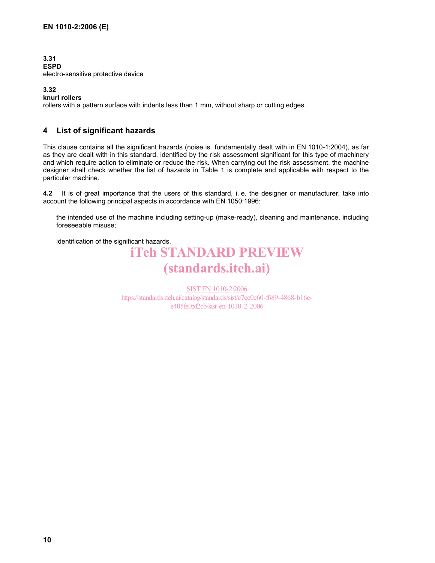#### **3.31 ESPD**  electro-sensitive protective device

#### **3.32**

**knurl rollers** 

rollers with a pattern surface with indents less than 1 mm, without sharp or cutting edges.

### **4 List of significant hazards**

This clause contains all the significant hazards (noise is fundamentally dealt with in EN 1010-1:2004), as far as they are dealt with in this standard, identified by the risk assessment significant for this type of machinery and which require action to eliminate or reduce the risk. When carrying out the risk assessment, the machine designer shall check whether the list of hazards in Table 1 is complete and applicable with respect to the particular machine.

**4.2** It is of great importance that the users of this standard, i. e. the designer or manufacturer, take into account the following principal aspects in accordance with EN 1050:1996:

- the intended use of the machine including setting-up (make-ready), cleaning and maintenance, including foreseeable misuse;
- identification of the significant hazards.

# iTeh STANDARD PREVIEW (standards.iteh.ai)

SIST EN 1010-2:2006 https://standards.iteh.ai/catalog/standards/sist/c7ec0e60-f689-4868-b16ee405fe05f2cb/sist-en-1010-2-2006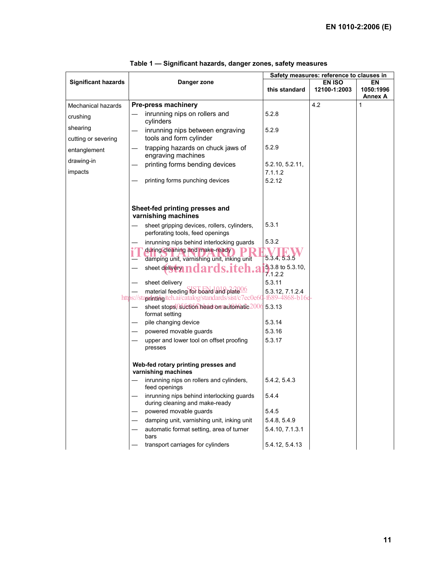|                            |                                                                             | Safety measures: reference to clauses in |               |                |
|----------------------------|-----------------------------------------------------------------------------|------------------------------------------|---------------|----------------|
| <b>Significant hazards</b> | Danger zone                                                                 |                                          | <b>EN ISO</b> | EN             |
|                            |                                                                             | this standard                            | 12100-1:2003  | 1050:1996      |
|                            |                                                                             |                                          |               | <b>Annex A</b> |
| Mechanical hazards         | Pre-press machinery                                                         |                                          | 4.2           | 1              |
| crushing                   | inrunning nips on rollers and<br>cylinders                                  | 5.2.8                                    |               |                |
| shearing                   | inrunning nips between engraving                                            | 5.2.9                                    |               |                |
| cutting or severing        | tools and form cylinder                                                     |                                          |               |                |
| entanglement               | trapping hazards on chuck jaws of<br>engraving machines                     | 5.2.9                                    |               |                |
| drawing-in                 | printing forms bending devices                                              | 5.2.10, 5.2.11,                          |               |                |
| impacts                    |                                                                             | 7.1.1.2                                  |               |                |
|                            | printing forms punching devices                                             | 5.2.12                                   |               |                |
|                            |                                                                             |                                          |               |                |
|                            |                                                                             |                                          |               |                |
|                            |                                                                             |                                          |               |                |
|                            | Sheet-fed printing presses and<br>varnishing machines                       |                                          |               |                |
|                            | sheet gripping devices, rollers, cylinders,                                 | 5.3.1                                    |               |                |
|                            | perforating tools, feed openings                                            |                                          |               |                |
|                            | inrunning nips behind interlocking guards                                   | 5.3.2                                    |               |                |
|                            | during cleaning and make-ready                                              |                                          |               |                |
|                            | damping unit, varnishing unit, inking unit                                  | 5.3.4, 5.3.5                             |               |                |
|                            | sheet delivery m<br>ards.iteh.a                                             | 5.3.8 to 5.3.10,<br>7.1.2.2              |               |                |
|                            | sheet delivery                                                              | 5.3.11                                   |               |                |
|                            | material feeding for board and plate <sup>006</sup>                         | 5.3.12, 7.1.2.4                          |               |                |
|                            | https://stapdatidg.iteh.ai/catalog/standards/sist/c7ec0e60                  | -f689-4868-b16e                          |               |                |
|                            | sheet stops. Suction headson automatic 2006<br>format setting               | 5.3.13                                   |               |                |
|                            | pile changing device                                                        | 5.3.14                                   |               |                |
|                            | powered movable guards                                                      | 5.3.16                                   |               |                |
|                            | upper and lower tool on offset proofing                                     | 5.3.17                                   |               |                |
|                            | presses                                                                     |                                          |               |                |
|                            |                                                                             |                                          |               |                |
|                            | Web-fed rotary printing presses and<br>varnishing machines                  |                                          |               |                |
|                            | inrunning nips on rollers and cylinders,<br>feed openings                   | 5.4.2, 5.4.3                             |               |                |
|                            | inrunning nips behind interlocking guards<br>during cleaning and make-ready | 5.4.4                                    |               |                |
|                            | powered movable guards                                                      | 5.4.5                                    |               |                |
|                            | damping unit, varnishing unit, inking unit                                  | 5.4.8, 5.4.9                             |               |                |
|                            | automatic format setting, area of turner                                    | 5.4.10, 7.1.3.1                          |               |                |
|                            | bars                                                                        |                                          |               |                |
|                            | transport carriages for cylinders                                           | 5.4.12, 5.4.13                           |               |                |

| Table 1 — Significant hazards, danger zones, safety measures |  |  |  |  |  |  |  |
|--------------------------------------------------------------|--|--|--|--|--|--|--|
|--------------------------------------------------------------|--|--|--|--|--|--|--|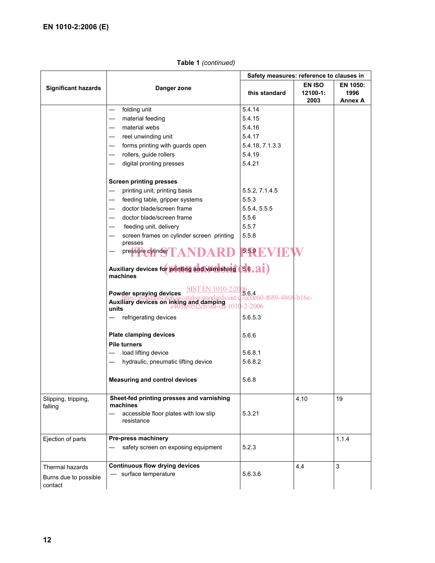|                                  | Danger zone                                                                 | Safety measures: reference to clauses in                     |                                       |                                    |
|----------------------------------|-----------------------------------------------------------------------------|--------------------------------------------------------------|---------------------------------------|------------------------------------|
| <b>Significant hazards</b>       |                                                                             | this standard                                                | <b>EN ISO</b><br>$12100 - 1:$<br>2003 | EN 1050:<br>1996<br><b>Annex A</b> |
|                                  | folding unit                                                                | 5.4.14                                                       |                                       |                                    |
|                                  | material feeding                                                            | 5.4.15                                                       |                                       |                                    |
|                                  | material webs                                                               | 5.4.16                                                       |                                       |                                    |
|                                  | reel unwinding unit                                                         | 5.4.17                                                       |                                       |                                    |
|                                  | forms printing with guards open                                             | 5.4.18, 7.1.3.3                                              |                                       |                                    |
|                                  | rollers, guide rollers                                                      | 5.4.19                                                       |                                       |                                    |
|                                  | digital pronting presses                                                    | 5.4.21                                                       |                                       |                                    |
|                                  | <b>Screen printing presses</b>                                              |                                                              |                                       |                                    |
|                                  | printing unit, printing basis                                               | 5.5.2, 7.1.4.5                                               |                                       |                                    |
|                                  | feeding table, gripper systems                                              | 5.5.3                                                        |                                       |                                    |
|                                  | doctor blade/screen frame                                                   | 5.5.4, 5.5.5                                                 |                                       |                                    |
|                                  | doctor blade/screen frame                                                   | 5.5.6                                                        |                                       |                                    |
|                                  | feeding unit, delivery                                                      | 5.5.7                                                        |                                       |                                    |
|                                  | screen frames on cylinder screen printing<br>presses                        | 5.5.8                                                        |                                       |                                    |
|                                  | pressure cylinder TA                                                        | 5.59 K                                                       |                                       |                                    |
|                                  | Auxiliary devices for printing and variashing (56.21)<br>machines           |                                                              |                                       |                                    |
|                                  | Powder spraying devices<br>Auxiliary devices on inking and damping<br>units | 06<br><b>5.6.4</b><br>7ec0e60-f689-4868-b16e-<br>$-2 - 2006$ |                                       |                                    |
|                                  | refrigerating devices                                                       | 5.6.5.3                                                      |                                       |                                    |
|                                  | <b>Plate clamping devices</b>                                               | 5.6.6                                                        |                                       |                                    |
|                                  | <b>Pile turners</b>                                                         |                                                              |                                       |                                    |
|                                  | load lifting device<br>$\qquad \qquad -$                                    | 5.6.8.1                                                      |                                       |                                    |
|                                  | hydraulic, pneumatic lifting device                                         | 5.6.8.2                                                      |                                       |                                    |
|                                  | <b>Measuring and control devices</b>                                        | 5.6.8                                                        |                                       |                                    |
| Slipping, tripping,<br>falling   | Sheet-fed printing presses and varnishing<br>machines                       |                                                              | 4.10                                  | 19                                 |
|                                  | accessible floor plates with low slip<br>resistance                         | 5.3.21                                                       |                                       |                                    |
| Ejection of parts                | Pre-press machinery                                                         |                                                              |                                       | 1.1.4                              |
|                                  | safety screen on exposing equipment                                         | 5.2.3                                                        |                                       |                                    |
| Thermal hazards                  | <b>Continuous flow drying devices</b>                                       |                                                              | 4.4                                   | 3                                  |
| Burns due to possible<br>contact | surface temperature                                                         | 5.6.3.6                                                      |                                       |                                    |

### **Table 1** *(continued)*